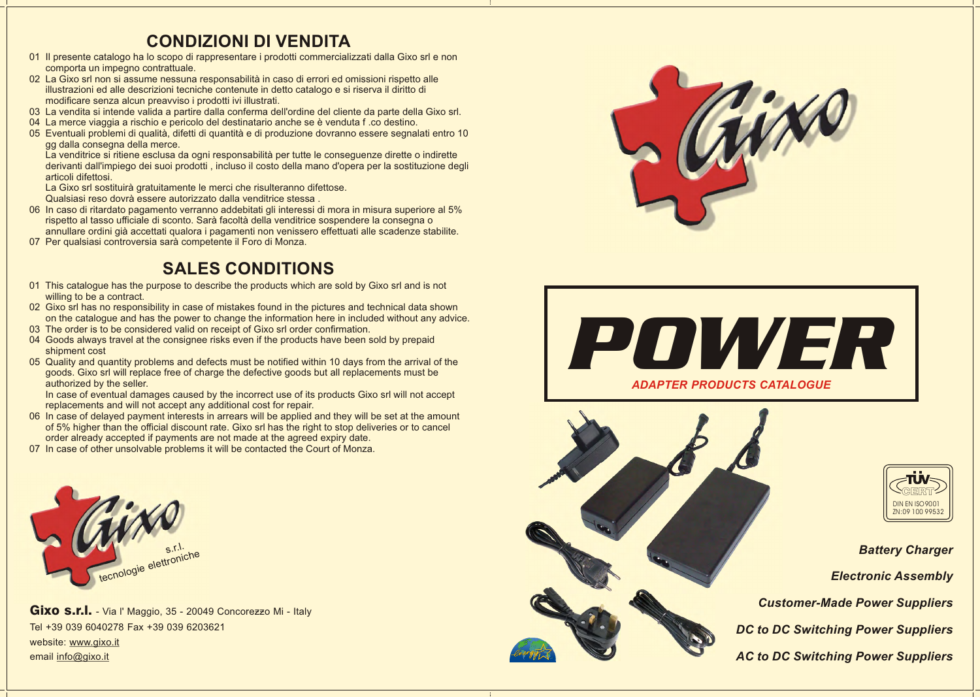

*Battery Charger Electronic Assembly Customer-Made Power Suppliers DC to DC Switching Power Suppliers AC to DC Switching Power Suppliers*

Gixo s.r.l. - Via l' Maggio, 35 - 20049 Concorezzo Mi - Italy Tel +39 039 6040278 Fax +39 039 6203621 website: www.gixo.it email info@gixo.it









# **CONDIZIONI DI VENDITA**

La venditrice si ritiene esclusa da ogni responsabilità per tutte le conseguenze dirette o indirette derivanti dall'impiego dei suoi prodotti , incluso il costo della mano d'opera per la sostituzione degli articoli difettosi.

- 01 Il presente catalogo ha lo scopo di rappresentare i prodotti commercializzati dalla Gixo srl e non comporta un impegno contrattuale.
- 02 La Gixo srl non si assume nessuna responsabilità in caso di errori ed omissioni rispetto alle illustrazioni ed alle descrizioni tecniche contenute in detto catalogo e si riserva il diritto di modificare senza alcun preavviso i prodotti ivi illustrati.
- 03 La vendita si intende valida a partire dalla conferma dell'ordine del cliente da parte della Gixo srl.
- 04 La merce viaggia a rischio e pericolo del destinatario anche se è venduta f .co destino.
- 05 Eventuali problemi di qualità, difetti di quantità e di produzione dovranno essere segnalati entro 10 gg dalla consegna della merce.

La Gixo srl sostituirà gratuitamente le merci che risulteranno difettose.

Qualsiasi reso dovrà essere autorizzato dalla venditrice stessa .

- 06 In caso di ritardato pagamento verranno addebitati gli interessi di mora in misura superiore al 5% rispetto al tasso ufficiale di sconto. Sarà facoltà della venditrice sospendere la consegna o annullare ordini già accettati qualora i pagamenti non venissero effettuati alle scadenze stabilite.
- 07 Per qualsiasi controversia sarà competente il Foro di Monza.

- 01 This catalogue has the purpose to describe the products which are sold by Gixo srl and is not willing to be a contract.
- 02 Gixo srl has no responsibility in case of mistakes found in the pictures and technical data shown on the catalogue and has the power to change the information here in included without any advice.
- 03 The order is to be considered valid on receipt of Gixo srl order confirmation.
- 04 Goods always travel at the consignee risks even if the products have been sold by prepaid shipment cost
- 05 Quality and quantity problems and defects must be notified within 10 days from the arrival of the goods. Gixo srl will replace free of charge the defective goods but all replacements must be authorized by the seller.

 In case of eventual damages caused by the incorrect use of its products Gixo srl will not accept replacements and will not accept any additional cost for repair.

- 06 In case of delayed payment interests in arrears will be applied and they will be set at the amount of 5% higher than the official discount rate. Gixo srl has the right to stop deliveries or to cancel order already accepted if payments are not made at the agreed expiry date.
- 07 In case of other unsolvable problems it will be contacted the Court of Monza.

# **SALES CONDITIONS**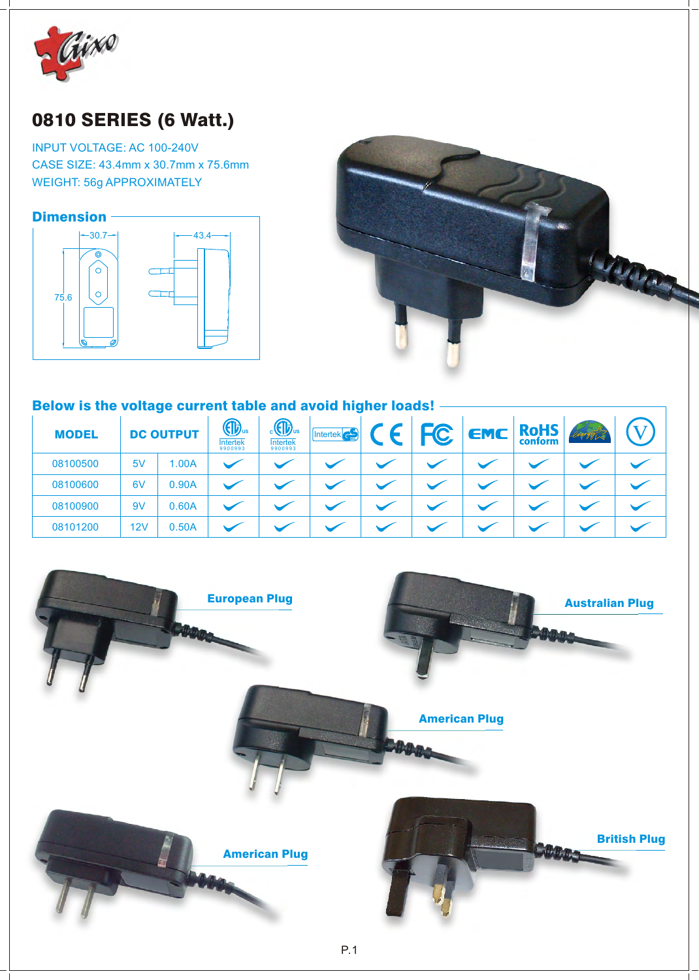

# 0810 SERIES (6 Watt.)

INPUT VOLTAGE: AC 100-240V CASE SIZE: 43.4mm x 30.7mm x 75.6mm WEIGHT: 56g APPROXIMATELY





#### Below is the voltage current table and avoid higher loads!

| <b>MODEL</b> | <b>DC OUTPUT</b> |       |  |  |  |  | $\P\mathbf{D}$ us<br><b>Intertek</b><br>9900993 | $_{c}$ (i) <sub>us</sub><br><b>Intertek</b><br>9900993 | $\left \text{Intertek} \right $ | $\epsilon$ | <b>FC</b> | <b>EMC</b> | <b>RoHS</b><br>conform | energy |  |
|--------------|------------------|-------|--|--|--|--|-------------------------------------------------|--------------------------------------------------------|---------------------------------|------------|-----------|------------|------------------------|--------|--|
| 08100500     | 5V               | 1.00A |  |  |  |  |                                                 |                                                        |                                 |            |           |            |                        |        |  |
| 08100600     | 6V               | 0.90A |  |  |  |  |                                                 |                                                        |                                 |            |           |            |                        |        |  |
| 08100900     | 9V               | 0.60A |  |  |  |  |                                                 |                                                        |                                 |            |           |            |                        |        |  |
| 08101200     | 12V              | 0.50A |  |  |  |  |                                                 |                                                        |                                 |            |           |            |                        |        |  |

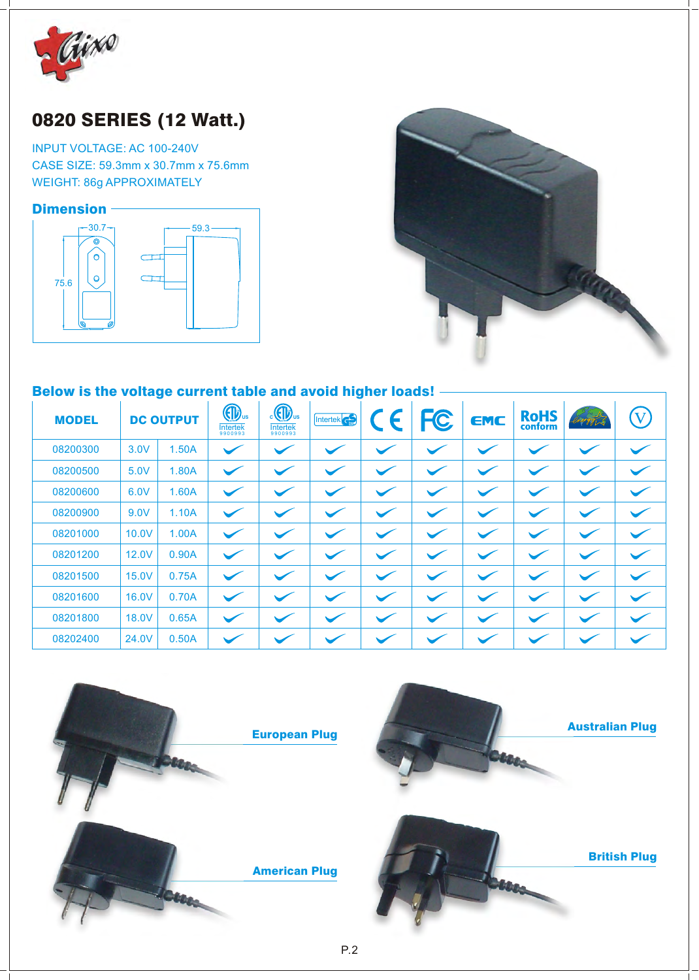

## 0820 SERIES (12 Watt.)

INPUT VOLTAGE: AC 100-240V CASE SIZE: 59.3mm x 30.7mm x 75.6mm WEIGHT: 86g APPROXIMATELY

#### **Dimension**





### Below is the voltage current table and avoid higher loads! -

| <b>MODEL</b> |       | <b>DC OUTPUT</b> | $\bigoplus$ <sub>us</sub><br><b>Intertek</b><br>9900993 | $\frac{1}{2}$ $\frac{1}{2}$ $\frac{1}{2}$ $\frac{1}{2}$ $\frac{1}{2}$ $\frac{1}{2}$ $\frac{1}{2}$ $\frac{1}{2}$ $\frac{1}{2}$ $\frac{1}{2}$ $\frac{1}{2}$ $\frac{1}{2}$ $\frac{1}{2}$ $\frac{1}{2}$ $\frac{1}{2}$ $\frac{1}{2}$ $\frac{1}{2}$ $\frac{1}{2}$ $\frac{1}{2}$ $\frac{1}{2}$ $\frac{1}{2}$ $\frac{1}{2}$<br><b>Intertek</b><br>9900993 | Intertek <sup>c</sup> | CE | <b>FC</b>    | <b>EMC</b> | <b>RoHS</b><br>conform | mergy L | $\bf V$                  |
|--------------|-------|------------------|---------------------------------------------------------|---------------------------------------------------------------------------------------------------------------------------------------------------------------------------------------------------------------------------------------------------------------------------------------------------------------------------------------------------|-----------------------|----|--------------|------------|------------------------|---------|--------------------------|
| 08200300     | 3.0V  | 1.50A            |                                                         |                                                                                                                                                                                                                                                                                                                                                   |                       |    | $\checkmark$ |            |                        |         | $\overline{\phantom{0}}$ |
| 08200500     | 5.0V  | 1.80A            |                                                         |                                                                                                                                                                                                                                                                                                                                                   |                       |    |              |            |                        |         | $\checkmark$             |
| 08200600     | 6.0V  | 1.60A            |                                                         |                                                                                                                                                                                                                                                                                                                                                   |                       |    |              |            |                        |         | $\checkmark$             |
| 08200900     | 9.0V  | 1.10A            |                                                         |                                                                                                                                                                                                                                                                                                                                                   |                       |    |              |            |                        |         | $\overline{\phantom{0}}$ |
| 08201000     | 10.0V | 1.00A            | $\checkmark$                                            |                                                                                                                                                                                                                                                                                                                                                   |                       |    | $\checkmark$ |            |                        |         | $\overline{\phantom{0}}$ |
| 08201200     | 12.0V | 0.90A            | $\checkmark$                                            |                                                                                                                                                                                                                                                                                                                                                   |                       |    |              |            |                        |         |                          |
| 08201500     | 15.0V | 0.75A            |                                                         |                                                                                                                                                                                                                                                                                                                                                   |                       |    |              |            |                        |         | $\overline{\phantom{0}}$ |
| 08201600     | 16.0V | 0.70A            |                                                         |                                                                                                                                                                                                                                                                                                                                                   |                       |    |              |            |                        |         | $\overline{\phantom{0}}$ |
| 08201800     | 18.0V | 0.65A            |                                                         |                                                                                                                                                                                                                                                                                                                                                   |                       |    |              |            |                        |         | $\overline{\phantom{0}}$ |
| 08202400     | 24.0V | 0.50A            |                                                         |                                                                                                                                                                                                                                                                                                                                                   |                       |    |              |            |                        |         |                          |

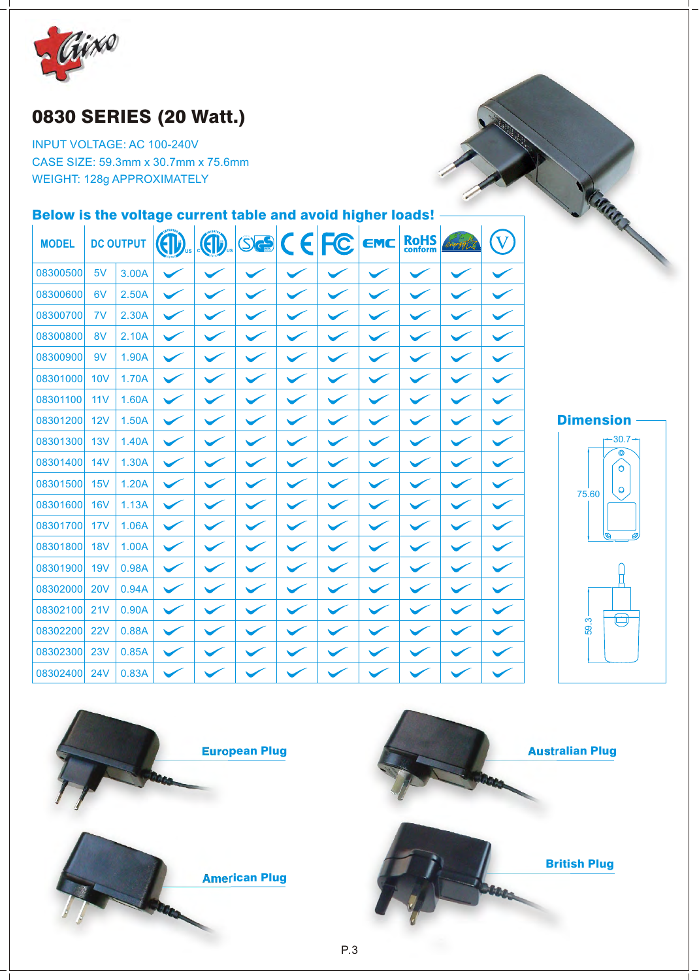

### 0830 SERIES (20 Watt.)

INPUT VOLTAGE: AC 100-240V CASE SIZE: 59.3mm x 30.7mm x 75.6mm WEIGHT: 128g APPROXIMATELY

### Below is the voltage current table and avoid higher loads!

| <b>MODEL</b> |            | <b>DC OUTPUT</b> | $\bigoplus$ | $\bigoplus$ | $\circ$ e $C$ EFC |  | EMC | <b>RoHS</b><br>conform |  |
|--------------|------------|------------------|-------------|-------------|-------------------|--|-----|------------------------|--|
| 08300500     | 5V         | 3.00A            |             |             |                   |  |     |                        |  |
| 08300600     | 6V         | 2.50A            |             |             |                   |  |     |                        |  |
| 08300700     | 7V         | 2.30A            |             |             |                   |  |     |                        |  |
| 08300800     | 8V         | 2.10A            |             |             |                   |  |     |                        |  |
| 08300900     | 9V         | 1.90A            |             |             |                   |  |     |                        |  |
| 08301000     | <b>10V</b> | 1.70A            |             |             |                   |  |     |                        |  |
| 08301100     | 11V        | 1.60A            |             |             |                   |  |     |                        |  |
| 08301200     | 12V        | 1.50A            |             |             |                   |  |     |                        |  |
| 08301300     | 13V        | 1.40A            |             |             |                   |  |     |                        |  |
| 08301400     | 14V        | 1.30A            |             |             |                   |  |     |                        |  |
| 08301500     | 15V        | 1.20A            |             |             |                   |  |     |                        |  |
| 08301600     | <b>16V</b> | 1.13A            |             |             |                   |  |     |                        |  |
| 08301700     | 17V        | 1.06A            |             |             |                   |  |     |                        |  |
| 08301800     | <b>18V</b> | 1.00A            |             |             |                   |  |     |                        |  |
| 08301900     | <b>19V</b> | 0.98A            |             |             |                   |  |     |                        |  |
| 08302000     | <b>20V</b> | 0.94A            |             |             |                   |  |     |                        |  |
| 08302100     | 21V        | 0.90A            |             |             |                   |  |     |                        |  |
| 08302200     | 22V        | 0.88A            |             |             |                   |  |     |                        |  |
| 08302300     | 23V        | 0.85A            |             |             |                   |  |     |                        |  |
| 08302400     | 24V        | 0.83A            |             |             |                   |  |     |                        |  |



CARGARY ..



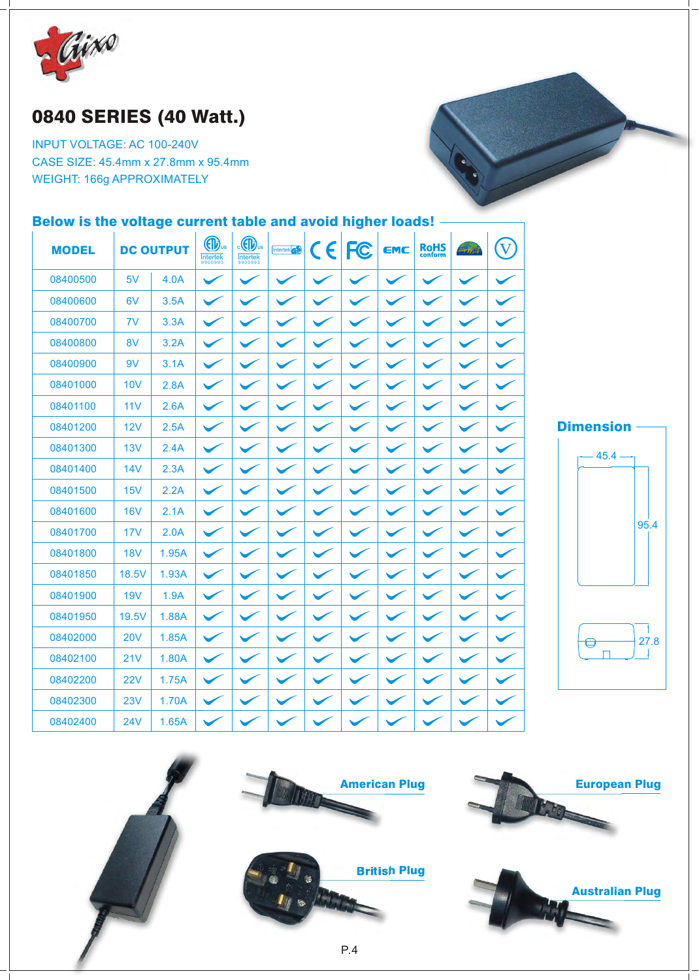

### 0840 SERIES (40 Watt.)

INPUT VOLTAGE: AC 100-240V CASE SIZE: 45.4mm x 27.8mm x 95.4mm WEIGHT: 166g APPROXIMATELY

### Below is the voltage current table and avoid higher loads! -

| <b>MODEL</b> |            | <b>DC OUTPUT</b> | <b>OD</b> us<br>$Intertek9900993$ | $\cdot$ (ID<br>$Intertek9900993$ | Intertek <sup>cs</sup> | CE FC        | EMC | <b>RoHS</b><br>conform | brong fort | $(\nabla)$           |                  |
|--------------|------------|------------------|-----------------------------------|----------------------------------|------------------------|--------------|-----|------------------------|------------|----------------------|------------------|
| 08400500     | 5V         | 4.0A             | $\checkmark$                      |                                  |                        |              |     |                        |            | $\checkmark$         |                  |
| 08400600     | 6V         | 3.5A             | $\checkmark$                      |                                  |                        | $\checkmark$ |     | $\checkmark$           |            | $\checkmark$         |                  |
| 08400700     | 7V         | 3.3A             | $\checkmark$                      |                                  |                        |              |     |                        |            | $\blacktriangledown$ |                  |
| 08400800     | 8V         | 3.2A             |                                   |                                  |                        |              |     |                        |            |                      |                  |
| 08400900     | 9V         | 3.1A             |                                   |                                  |                        |              |     |                        |            |                      |                  |
| 08401000     | <b>10V</b> | 2.8A             |                                   |                                  |                        |              |     |                        |            |                      |                  |
| 08401100     | 11V        | 2.6A             |                                   |                                  |                        |              |     |                        |            |                      |                  |
| 08401200     | 12V        | 2.5A             | $\checkmark$                      |                                  |                        |              |     |                        |            |                      | <b>Dimension</b> |
| 08401300     | 13V        | 2.4A             | $\checkmark$                      |                                  |                        | $\checkmark$ |     |                        |            | $\checkmark$         | $45.4 -$         |
| 08401400     | <b>14V</b> | 2.3A             | $\checkmark$                      |                                  |                        |              |     |                        |            |                      |                  |
| 08401500     | 15V        | 2.2A             |                                   |                                  |                        |              |     |                        |            |                      |                  |
| 08401600     | <b>16V</b> | 2.1A             |                                   |                                  |                        |              |     |                        |            |                      |                  |
| 08401700     | 17V        | 2.0A             |                                   |                                  |                        |              |     |                        |            |                      |                  |
| 08401800     | <b>18V</b> | 1.95A            | $\checkmark$                      |                                  |                        |              |     |                        |            |                      |                  |
| 08401850     | 18.5V      | 1.93A            | $\checkmark$                      |                                  |                        |              |     |                        |            |                      |                  |
| 08401900     | <b>19V</b> | 1.9A             | $\checkmark$                      |                                  |                        |              |     |                        |            |                      |                  |
| 08401950     | 19.5V      | 1.88A            |                                   |                                  |                        |              |     |                        |            |                      |                  |
| 08402000     | <b>20V</b> | 1.85A            |                                   |                                  |                        |              |     |                        |            |                      | U                |
| 08402100     | 21V        | 1.80A            |                                   |                                  |                        |              |     |                        |            |                      |                  |
| 08402200     | <b>22V</b> | 1.75A            | $\checkmark$                      |                                  |                        |              |     |                        |            |                      |                  |
| 08402300     | 23V        | 1.70A            | $\checkmark$                      |                                  |                        |              |     |                        |            |                      |                  |
| 08402400     | <b>24V</b> | 1.65A            |                                   |                                  |                        |              |     |                        |            |                      |                  |



95.4

27.8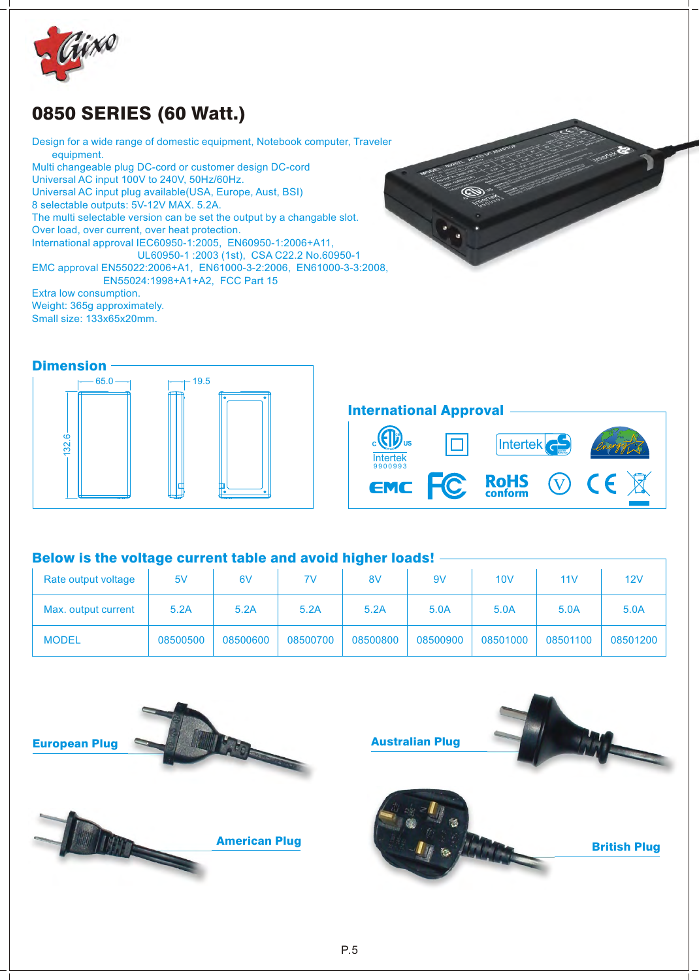

### 0850 SERIES (60 Watt.)

Design for a wide range of domestic equipment, Notebook computer, Traveler equipment. Multi changeable plug DC-cord or customer design DC-cord Universal AC input 100V to 240V, 50Hz/60Hz. Universal AC input plug available(USA, Europe, Aust, BSI) 8 selectable outputs: 5V-12V MAX. 5.2A. The multi selectable version can be set the output by a changable slot. Over load, over current, over heat protection. International approval IEC60950-1:2005, EN60950-1:2006+A11, UL60950-1 :2003 (1st), CSA C22.2 No.60950-1 EMC approval EN55022:2006+A1, EN61000-3-2:2006, EN61000-3-3:2008, EN55024:1998+A1+A2, FCC Part 15 Extra low consumption.

Weight: 365g approximately. Small size: 133x65x20mm.

#### **Dimension**



### International Approval



#### Below is the voltage current table and avoid higher loads! -

| Rate output voltage | 5V       | 6V       | 7V       | 8V       | 9V       | 10V      | 11V      | 12V      |
|---------------------|----------|----------|----------|----------|----------|----------|----------|----------|
| Max. output current | 5.2A     | 5.2A     | 5.2A     | 5.2A     | 5.0A     | 5.0A     | 5.0A     | 5.0A     |
| <b>MODEL</b>        | 08500500 | 08500600 | 08500700 | 08500800 | 08500900 | 08501000 | 08501100 | 08501200 |